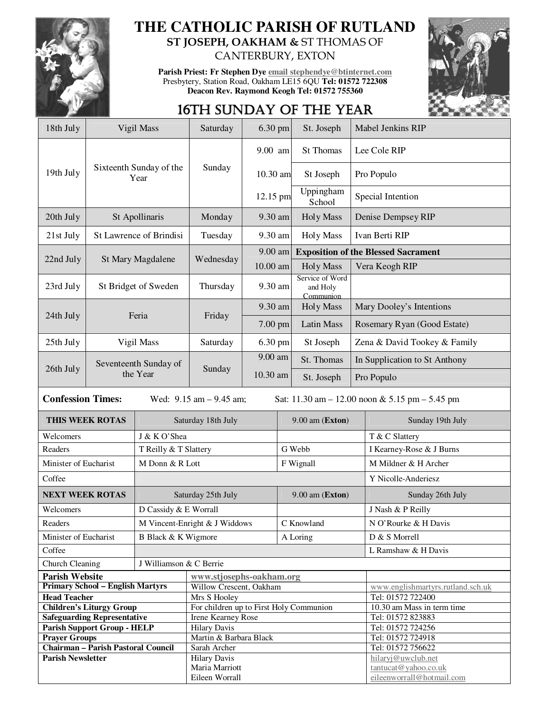

# **THE CATHOLIC PARISH OF RUTLAND ST JOSEPH, OAKHAM &** ST THOMAS OF

CANTERBURY, EXTON

**Parish Priest: Fr Stephen Dye email stephendye@btinternet.com** Presbytery, Station Road, Oakham LE15 6QU **Tel: 01572 722308 Deacon Rev. Raymond Keogh Tel: 01572 755360** 



## 16TH SUNDAY OF THE YEAR

| 18th July                                                                                                       | Vigil Mass                                |                                               | Saturday<br>6.30 pm                     |                       |                   | St. Joseph                                 |                                        | Mabel Jenkins RIP                 |  |
|-----------------------------------------------------------------------------------------------------------------|-------------------------------------------|-----------------------------------------------|-----------------------------------------|-----------------------|-------------------|--------------------------------------------|----------------------------------------|-----------------------------------|--|
|                                                                                                                 | Sixteenth Sunday of the<br>Year           |                                               |                                         | 9.00 am               |                   | St Thomas                                  | Lee Cole RIP                           |                                   |  |
| 19th July                                                                                                       |                                           |                                               | Sunday                                  | 10.30 am              |                   | St Joseph                                  | Pro Populo                             |                                   |  |
|                                                                                                                 |                                           |                                               |                                         | 12.15 pm              |                   | Uppingham<br>School                        | Special Intention                      |                                   |  |
| 20th July                                                                                                       | St Apollinaris                            |                                               | Monday                                  | 9.30 am               |                   | <b>Holy Mass</b>                           | Denise Dempsey RIP                     |                                   |  |
| 21st July                                                                                                       | St Lawrence of Brindisi                   |                                               | Tuesday                                 | 9.30 am               |                   | <b>Holy Mass</b>                           | Ivan Berti RIP                         |                                   |  |
| 22nd July<br>St Mary Magdalene                                                                                  |                                           |                                               |                                         | 9.00 am<br>$10.00$ am |                   | <b>Exposition of the Blessed Sacrament</b> |                                        |                                   |  |
|                                                                                                                 |                                           |                                               | Wednesday                               |                       |                   | <b>Holy Mass</b>                           | Vera Keogh RIP                         |                                   |  |
| 23rd July                                                                                                       | St Bridget of Sweden                      |                                               | Thursday                                | 9.30 am               |                   | Service of Word<br>and Holy<br>Communion   |                                        |                                   |  |
|                                                                                                                 | Feria                                     |                                               |                                         | 9.30 am               |                   | <b>Holy Mass</b>                           | Mary Dooley's Intentions               |                                   |  |
| 24th July                                                                                                       |                                           |                                               | Friday                                  | 7.00 pm               |                   | Latin Mass                                 | Rosemary Ryan (Good Estate)            |                                   |  |
| 25th July                                                                                                       | Vigil Mass                                |                                               | Saturday                                | 6.30 pm               |                   | St Joseph                                  | Zena & David Tookey & Family           |                                   |  |
| 26th July                                                                                                       | Seventeenth Sunday of<br>the Year         |                                               |                                         | 9.00 am               |                   | St. Thomas                                 | In Supplication to St Anthony          |                                   |  |
|                                                                                                                 |                                           |                                               | Sunday                                  | 10.30 am              |                   | St. Joseph                                 | Pro Populo                             |                                   |  |
| <b>Confession Times:</b><br>Wed: $9.15$ am $- 9.45$ am;<br>Sat: $11.30$ am $- 12.00$ noon & 5.15 pm $- 5.45$ pm |                                           |                                               |                                         |                       |                   |                                            |                                        |                                   |  |
| THIS WEEK ROTAS                                                                                                 |                                           | Saturday 18th July                            |                                         | 9.00 am (Exton)       |                   |                                            | Sunday 19th July                       |                                   |  |
| Welcomers                                                                                                       |                                           | J & K O'Shea                                  |                                         |                       |                   |                                            | T & C Slattery                         |                                   |  |
| Readers                                                                                                         |                                           | T Reilly & T Slattery                         |                                         |                       | G Webb            |                                            | I Kearney-Rose & J Burns               |                                   |  |
| Minister of Eucharist                                                                                           |                                           | M Donn & R Lott                               |                                         |                       | F Wignall         |                                            | M Mildner & H Archer                   |                                   |  |
| Coffee                                                                                                          |                                           |                                               |                                         |                       |                   |                                            |                                        | Y Nicolle-Anderiesz               |  |
| <b>NEXT WEEK ROTAS</b>                                                                                          |                                           | Saturday 25th July                            |                                         |                       | $9.00$ am (Exton) |                                            |                                        | Sunday 26th July                  |  |
| Welcomers                                                                                                       |                                           | D Cassidy & E Worrall                         |                                         |                       |                   |                                            |                                        | J Nash & P Reilly                 |  |
| Readers                                                                                                         |                                           | M Vincent-Enright & J Widdows                 |                                         |                       | C Knowland        |                                            |                                        | N O'Rourke & H Davis              |  |
| Minister of Eucharist                                                                                           |                                           | B Black & K Wigmore                           |                                         |                       | A Loring          |                                            |                                        | D & S Morrell                     |  |
| Coffee                                                                                                          |                                           |                                               |                                         |                       |                   |                                            | L Ramshaw & H Davis                    |                                   |  |
| J Williamson & C Berrie<br><b>Church Cleaning</b>                                                               |                                           |                                               |                                         |                       |                   |                                            |                                        |                                   |  |
| <b>Parish Website</b>                                                                                           |                                           | www.stjosephs-oakham.org                      |                                         |                       |                   |                                            |                                        |                                   |  |
| <b>Primary School - English Martyrs</b>                                                                         |                                           |                                               | Willow Crescent, Oakham                 |                       |                   |                                            |                                        | www.englishmartyrs.rutland.sch.uk |  |
| <b>Head Teacher</b>                                                                                             |                                           |                                               | Mrs S Hooley                            |                       |                   |                                            |                                        | Tel: 01572 722400                 |  |
| <b>Children's Liturgy Group</b>                                                                                 |                                           |                                               | For children up to First Holy Communion |                       |                   |                                            |                                        | 10.30 am Mass in term time        |  |
| <b>Safeguarding Representative</b><br><b>Parish Support Group - HELP</b>                                        |                                           |                                               | Irene Kearney Rose                      |                       |                   |                                            |                                        | Tel: 01572 823883                 |  |
|                                                                                                                 |                                           | <b>Hilary Davis</b><br>Martin & Barbara Black |                                         |                       |                   |                                            | Tel: 01572 724256                      |                                   |  |
| <b>Prayer Groups</b>                                                                                            | <b>Chairman - Parish Pastoral Council</b> | Sarah Archer                                  |                                         |                       |                   |                                            | Tel: 01572 724918<br>Tel: 01572 756622 |                                   |  |
| <b>Parish Newsletter</b>                                                                                        |                                           | <b>Hilary Davis</b>                           |                                         |                       |                   | hilaryj@uwclub.net                         |                                        |                                   |  |
|                                                                                                                 |                                           | Maria Marriott                                |                                         |                       |                   | tantucat@yahoo.co.uk                       |                                        |                                   |  |
|                                                                                                                 |                                           | Eileen Worrall                                |                                         |                       |                   |                                            | eileenworrall@hotmail.com              |                                   |  |